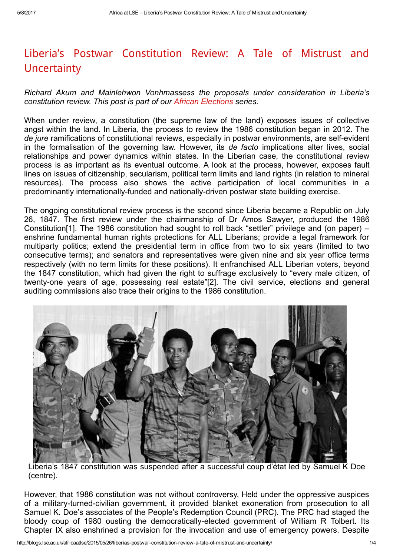## Liberia's Postwar [Constitution](http://blogs.lse.ac.uk/africaatlse/2015/05/26/liberias-postwar-constitution-review-a-tale-of-mistrust-and-uncertainty/) Review: A Tale of Mistrust and **Uncertainty**

Richard Akum and Mainlehwon Vonhmassess the proposals under consideration in Liberia's constitution review. This post is part of our African [Elections](http://blogs.lse.ac.uk/africaatlse/category/african-elections/) series.

When under review, a constitution (the supreme law of the land) exposes issues of collective angst within the land. In Liberia, the process to review the 1986 constitution began in 2012. The de jure ramifications of constitutional reviews, especially in postwar environments, are self-evident in the formalisation of the governing law. However, its de facto implications alter lives, social relationships and power dynamics within states. In the Liberian case, the constitutional review process is as important as its eventual outcome. A look at the process, however, exposes fault lines on issues of citizenship, secularism, political term limits and land rights (in relation to mineral resources). The process also shows the active participation of local communities in a predominantly internationally-funded and nationally-driven postwar state building exercise.

The ongoing constitutional review process is the second since Liberia became a Republic on July 26, 1847. The first review under the chairmanship of Dr Amos Sawyer, produced the 1986 Constitution[1]. The 1986 constitution had sought to roll back "settler" privilege and (on paper) – enshrine fundamental human rights protections for ALL Liberians; provide a legal framework for multiparty politics; extend the presidential term in office from two to six years (limited to two consecutive terms); and senators and representatives were given nine and six year office terms respectively (with no term limits for these positions). It enfranchised ALL Liberian voters, beyond the 1847 constitution, which had given the right to suffrage exclusively to "every male citizen, of twenty-one years of age, possessing real estate"[2]. The civil service, elections and general auditing commissions also trace their origins to the 1986 constitution.



Liberia's 1847 constitution was suspended after a successful coup d'état led by Samuel K Doe (centre).

However, that 1986 constitution was not without controversy. Held under the oppressive auspices of a military-turned-civilian government, it provided blanket exoneration from prosecution to all Samuel K. Doe's associates of the People's Redemption Council (PRC). The PRC had staged the bloody coup of 1980 ousting the democratically-elected government of William R Tolbert. Its Chapter IX also enshrined a provision for the invocation and use of emergency powers. Despite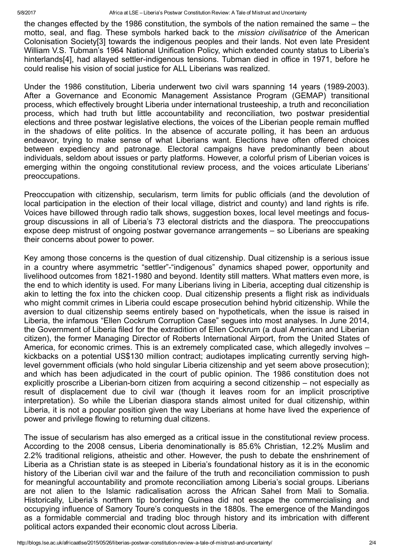the changes effected by the 1986 constitution, the symbols of the nation remained the same – the motto, seal, and flag. These symbols harked back to the mission civilisatrice of the American Colonisation Society[3] towards the indigenous peoples and their lands. Not even late President William V.S. Tubman's 1964 National Unification Policy, which extended county status to Liberia's hinterlands[4], had allayed settler-indigenous tensions. Tubman died in office in 1971, before he could realise his vision of social justice for ALL Liberians was realized.

Under the 1986 constitution, Liberia underwent two civil wars spanning 14 years (1989-2003). After a Governance and Economic Management Assistance Program (GEMAP) transitional process, which effectively brought Liberia under international trusteeship, a truth and reconciliation process, which had truth but little accountability and reconciliation, two postwar presidential elections and three postwar legislative elections, the voices of the Liberian people remain muffled in the shadows of elite politics. In the absence of accurate polling, it has been an arduous endeavor, trying to make sense of what Liberians want. Elections have often offered choices between expediency and patronage. Electoral campaigns have predominantly been about individuals, seldom about issues or party platforms. However, a colorful prism of Liberian voices is emerging within the ongoing constitutional review process, and the voices articulate Liberians' preoccupations.

Preoccupation with citizenship, secularism, term limits for public officials (and the devolution of local participation in the election of their local village, district and county) and land rights is rife. Voices have billowed through radio talk shows, suggestion boxes, local level meetings and focusgroup discussions in all of Liberia's 73 electoral districts and the diaspora. The preoccupations expose deep mistrust of ongoing postwar governance arrangements – so Liberians are speaking their concerns about power to power.

Key among those concerns is the question of dual citizenship. Dual citizenship is a serious issue in a country where asymmetric "settler"-"indigenous" dynamics shaped power, opportunity and livelihood outcomes from 1821-1980 and beyond. Identity still matters. What matters even more, is the end to which identity is used. For many Liberians living in Liberia, accepting dual citizenship is akin to letting the fox into the chicken coop. Dual citizenship presents a flight risk as individuals who might commit crimes in Liberia could escape prosecution behind hybrid citizenship. While the aversion to dual citizenship seems entirely based on hypotheticals, when the issue is raised in Liberia, the infamous "Ellen Cockrum Corruption Case" segues into most analyses. In June 2014, the Government of Liberia filed for the extradition of Ellen Cockrum (a dual American and Liberian citizen), the former Managing Director of Roberts International Airport, from the United States of America, for economic crimes. This is an extremely complicated case, which allegedly involves – kickbacks on a potential US\$130 million contract; audiotapes implicating currently serving highlevel government officials (who hold singular Liberia citizenship and yet seem above prosecution); and which has been adjudicated in the court of public opinion. The 1986 constitution does not explicitly proscribe a Liberian-born citizen from acquiring a second citizenship – not especially as result of displacement due to civil war (though it leaves room for an implicit proscriptive interpretation). So while the Liberian diaspora stands almost united for dual citizenship, within Liberia, it is not a popular position given the way Liberians at home have lived the experience of power and privilege flowing to returning dual citizens.

The issue of secularism has also emerged as a critical issue in the constitutional review process. According to the 2008 census, Liberia denominationally is 85.6% Christian, 12.2% Muslim and 2.2% traditional religions, atheistic and other. However, the push to debate the enshrinement of Liberia as a Christian state is as steeped in Liberia's foundational history as it is in the economic history of the Liberian civil war and the failure of the truth and reconciliation commission to push for meaningful accountability and promote reconciliation among Liberia's social groups. Liberians are not alien to the Islamic radicalisation across the African Sahel from Mali to Somalia. Historically, Liberia's northern tip bordering Guinea did not escape the commercialising and occupying influence of Samory Toure's conquests in the 1880s. The emergence of the Mandingos as a formidable commercial and trading bloc through history and its imbrication with different political actors expanded their economic clout across Liberia.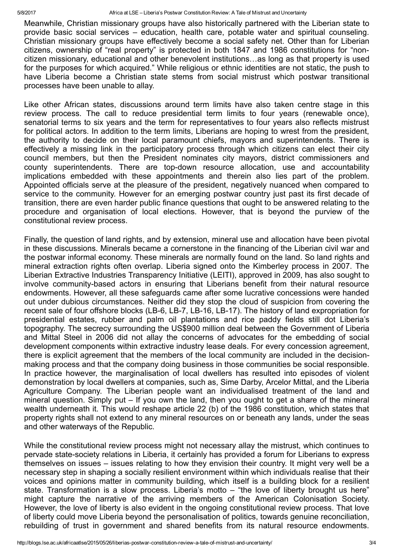Meanwhile, Christian missionary groups have also historically partnered with the Liberian state to provide basic social services – education, health care, potable water and spiritual counseling. Christian missionary groups have effectively become a social safety net. Other than for Liberian citizens, ownership of "real property" is protected in both 1847 and 1986 constitutions for "noncitizen missionary, educational and other benevolent institutions…as long as that property is used for the purposes for which acquired." While religious or ethnic identities are not static, the push to have Liberia become a Christian state stems from social mistrust which postwar transitional processes have been unable to allay.

Like other African states, discussions around term limits have also taken centre stage in this review process. The call to reduce presidential term limits to four years (renewable once), senatorial terms to six years and the term for representatives to four years also reflects mistrust for political actors. In addition to the term limits, Liberians are hoping to wrest from the president, the authority to decide on their local paramount chiefs, mayors and superintendents. There is effectively a missing link in the participatory process through which citizens can elect their city council members, but then the President nominates city mayors, district commissioners and county superintendents. There are top-down resource allocation, use and accountability implications embedded with these appointments and therein also lies part of the problem. Appointed officials serve at the pleasure of the president, negatively nuanced when compared to service to the community. However for an emerging postwar country just past its first decade of transition, there are even harder public finance questions that ought to be answered relating to the procedure and organisation of local elections. However, that is beyond the purview of the constitutional review process.

Finally, the question of land rights, and by extension, mineral use and allocation have been pivotal in these discussions. Minerals became a cornerstone in the financing of the Liberian civil war and the postwar informal economy. These minerals are normally found on the land. So land rights and mineral extraction rights often overlap. Liberia signed onto the Kimberley process in 2007. The Liberian Extractive Industries Transparency Initiative (LEITI), approved in 2009, has also sought to involve community-based actors in ensuring that Liberians benefit from their natural resource endowments. However, all these safeguards came after some lucrative concessions were handed out under dubious circumstances. Neither did they stop the cloud of suspicion from covering the recent sale of four offshore blocks (LB-6, LB-7, LB-16, LB-17). The history of land expropriation for presidential estates, rubber and palm oil plantations and rice paddy fields still dot Liberia's topography. The secrecy surrounding the US\$900 million deal between the Government of Liberia and Mittal Steel in 2006 did not allay the concerns of advocates for the embedding of social development components within extractive industry lease deals. For every concession agreement, there is explicit agreement that the members of the local community are included in the decisionmaking process and that the company doing business in those communities be social responsible. In practice however, the marginalisation of local dwellers has resulted into episodes of violent demonstration by local dwellers at companies, such as, Sime Darby, Arcelor Mittal, and the Liberia Agriculture Company. The Liberian people want an individualised treatment of the land and mineral question. Simply put – If you own the land, then you ought to get a share of the mineral wealth underneath it. This would reshape article 22 (b) of the 1986 constitution, which states that property rights shall not extend to any mineral resources on or beneath any lands, under the seas and other waterways of the Republic.

While the constitutional review process might not necessary allay the mistrust, which continues to pervade state-society relations in Liberia, it certainly has provided a forum for Liberians to express themselves on issues – issues relating to how they envision their country. It might very well be a necessary step in shaping a socially resilient environment within which individuals realise that their voices and opinions matter in community building, which itself is a building block for a resilient state. Transformation is a slow process. Liberia's motto – "the love of liberty brought us here" might capture the narrative of the arriving members of the American Colonisation Society. However, the love of liberty is also evident in the ongoing constitutional review process. That love of liberty could move Liberia beyond the personalisation of politics, towards genuine reconciliation, rebuilding of trust in government and shared benefits from its natural resource endowments.